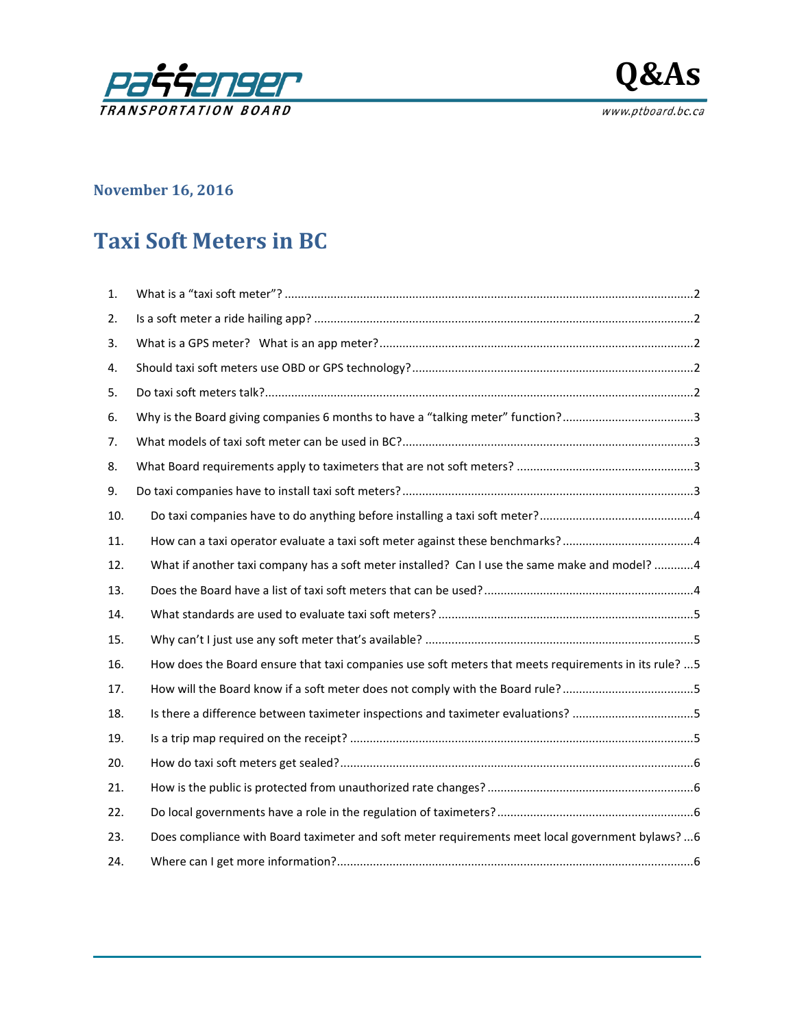



## **November 16, 2016**

# **Taxi Soft Meters in BC**

| 1.  |                                                                                                       |
|-----|-------------------------------------------------------------------------------------------------------|
| 2.  |                                                                                                       |
| 3.  |                                                                                                       |
| 4.  |                                                                                                       |
| 5.  |                                                                                                       |
| 6.  |                                                                                                       |
| 7.  |                                                                                                       |
| 8.  |                                                                                                       |
| 9.  |                                                                                                       |
| 10. |                                                                                                       |
| 11. |                                                                                                       |
| 12. | What if another taxi company has a soft meter installed? Can I use the same make and model? 4         |
| 13. |                                                                                                       |
| 14. |                                                                                                       |
| 15. |                                                                                                       |
| 16. | How does the Board ensure that taxi companies use soft meters that meets requirements in its rule?  5 |
| 17. | How will the Board know if a soft meter does not comply with the Board rule?5                         |
| 18. | Is there a difference between taximeter inspections and taximeter evaluations? 5                      |
| 19. |                                                                                                       |
| 20. |                                                                                                       |
| 21. |                                                                                                       |
| 22. |                                                                                                       |
| 23. | Does compliance with Board taximeter and soft meter requirements meet local government bylaws?  6     |
| 24. |                                                                                                       |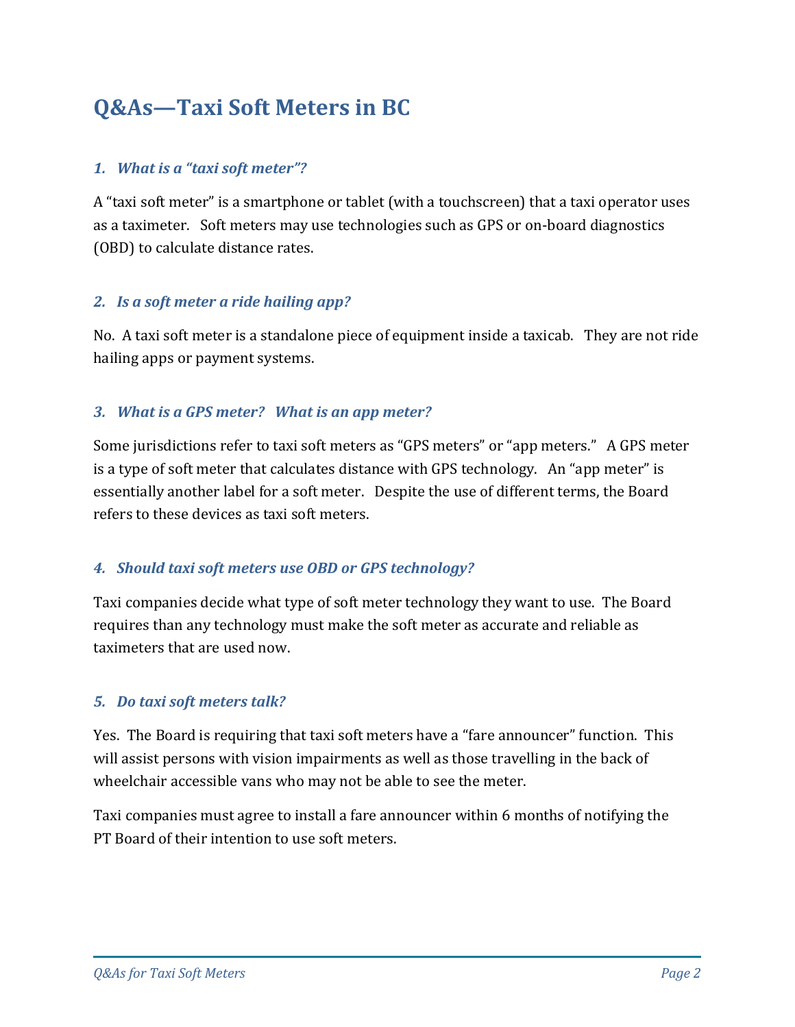## **Q&As—Taxi Soft Meters in BC**

#### <span id="page-1-0"></span>*1. What is a "taxi soft meter"?*

A "taxi soft meter" is a smartphone or tablet (with a touchscreen) that a taxi operator uses as a taximeter. Soft meters may use technologies such as GPS or on-board diagnostics (OBD) to calculate distance rates.

#### <span id="page-1-1"></span>*2. Is a soft meter a ride hailing app?*

No. A taxi soft meter is a standalone piece of equipment inside a taxicab. They are not ride hailing apps or payment systems.

#### <span id="page-1-2"></span>*3. What is a GPS meter? What is an app meter?*

Some jurisdictions refer to taxi soft meters as "GPS meters" or "app meters." A GPS meter is a type of soft meter that calculates distance with GPS technology. An "app meter" is essentially another label for a soft meter. Despite the use of different terms, the Board refers to these devices as taxi soft meters.

#### <span id="page-1-3"></span>*4. Should taxi soft meters use OBD or GPS technology?*

Taxi companies decide what type of soft meter technology they want to use. The Board requires than any technology must make the soft meter as accurate and reliable as taximeters that are used now.

#### <span id="page-1-4"></span>*5. Do taxi soft meters talk?*

Yes. The Board is requiring that taxi soft meters have a "fare announcer" function. This will assist persons with vision impairments as well as those travelling in the back of wheelchair accessible vans who may not be able to see the meter.

Taxi companies must agree to install a fare announcer within 6 months of notifying the PT Board of their intention to use soft meters.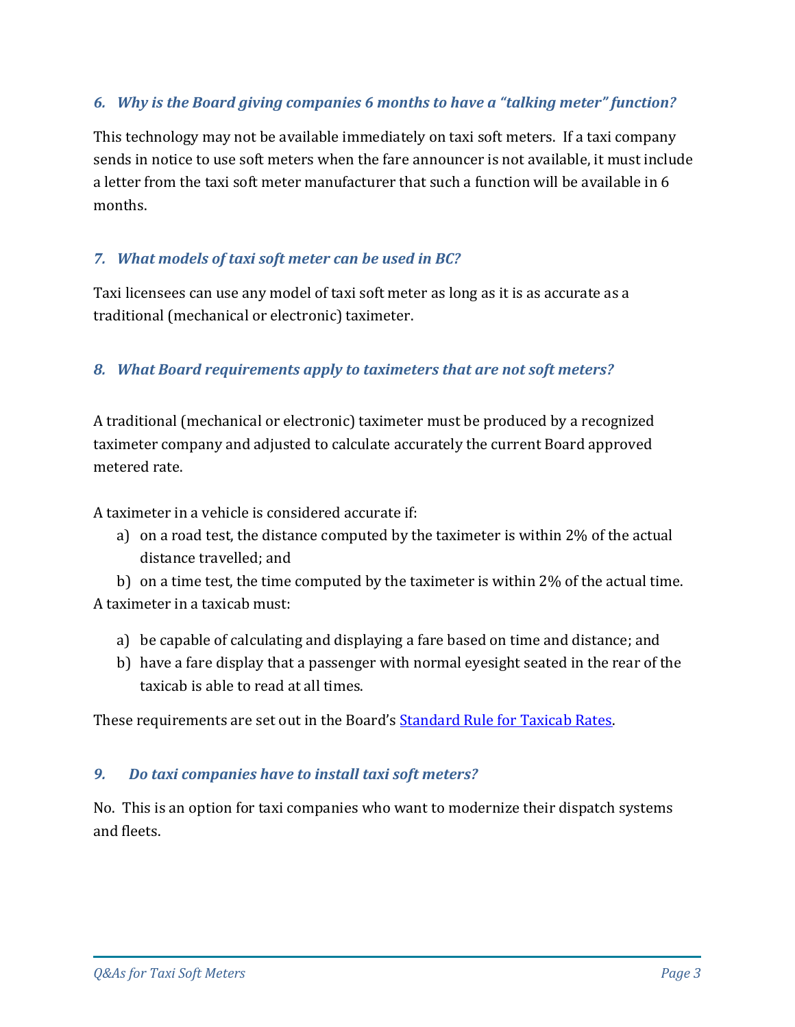## <span id="page-2-0"></span>*6. Why is the Board giving companies 6 months to have a "talking meter" function?*

This technology may not be available immediately on taxi soft meters. If a taxi company sends in notice to use soft meters when the fare announcer is not available, it must include a letter from the taxi soft meter manufacturer that such a function will be available in 6 months.

#### <span id="page-2-1"></span>*7. What models of taxi soft meter can be used in BC?*

Taxi licensees can use any model of taxi soft meter as long as it is as accurate as a traditional (mechanical or electronic) taximeter.

#### <span id="page-2-2"></span>*8. What Board requirements apply to taximeters that are not soft meters?*

A traditional (mechanical or electronic) taximeter must be produced by a recognized taximeter company and adjusted to calculate accurately the current Board approved metered rate.

A taximeter in a vehicle is considered accurate if:

a) on a road test, the distance computed by the taximeter is within 2% of the actual distance travelled; and

b) on a time test, the time computed by the taximeter is within 2% of the actual time. A taximeter in a taxicab must:

- a) be capable of calculating and displaying a fare based on time and distance; and
- b) have a fare display that a passenger with normal eyesight seated in the rear of the taxicab is able to read at all times.

These requirements are set out in the Board's **Standard Rule for Taxicab Rates**.

#### <span id="page-2-3"></span>*9. Do taxi companies have to install taxi soft meters?*

No. This is an option for taxi companies who want to modernize their dispatch systems and fleets.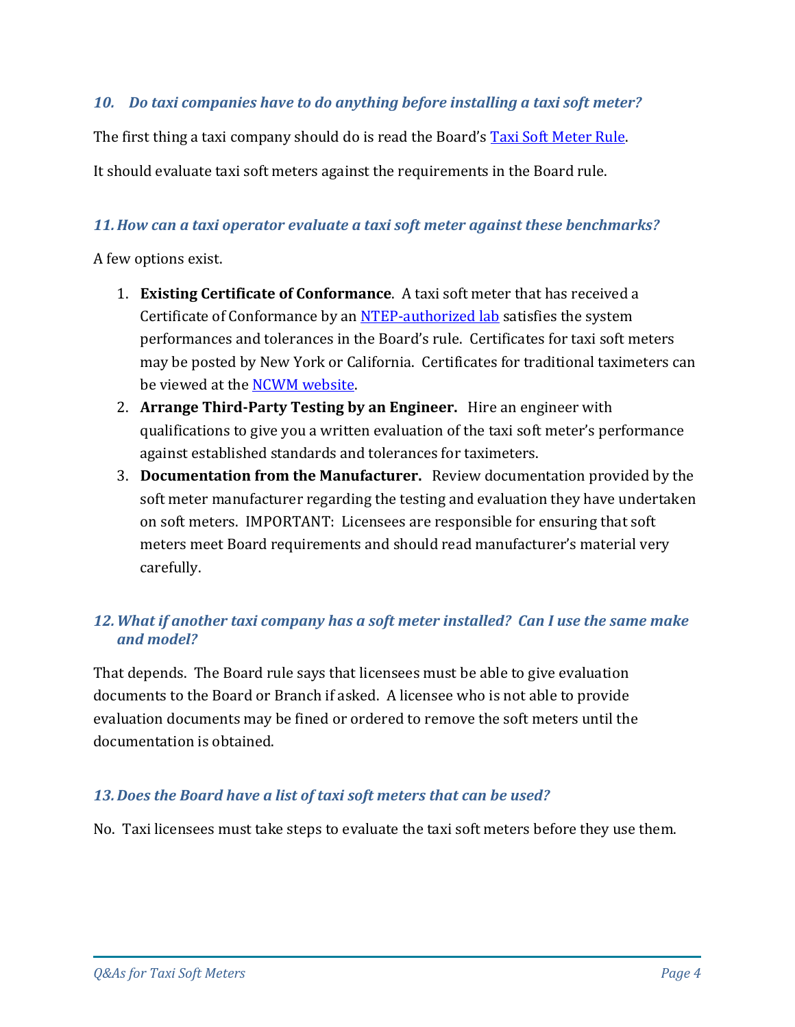#### <span id="page-3-0"></span>*10. Do taxi companies have to do anything before installing a taxi soft meter?*

The first thing a taxi company should do is read the Board's [Taxi Soft Meter Rule.](http://www.th.gov.bc.ca/ptb/documents/rule-taxi-soft-meter.pdf)

It should evaluate taxi soft meters against the requirements in the Board rule.

#### <span id="page-3-1"></span>*11.How can a taxi operator evaluate a taxi soft meter against these benchmarks?*

A few options exist.

- 1. **Existing Certificate of Conformance**. A taxi soft meter that has received a Certificate of Conformance by an [NTEP-authorized lab](http://www.ncwm.net/ntep/obtain/labs) satisfies the system performances and tolerances in the Board's rule. Certificates for taxi soft meters may be posted by New York or California. Certificates for traditional taximeters can be viewed at the [NCWM website.](http://www.ncwm.net/ntep/cert_search?ob=&obd=&cc_num=&status=Any&man=&mod=&dvt=Taximeter&keyword=&search=Search)
- 2. **Arrange Third-Party Testing by an Engineer.** Hire an engineer with qualifications to give you a written evaluation of the taxi soft meter's performance against established standards and tolerances for taximeters.
- 3. **Documentation from the Manufacturer.** Review documentation provided by the soft meter manufacturer regarding the testing and evaluation they have undertaken on soft meters. IMPORTANT: Licensees are responsible for ensuring that soft meters meet Board requirements and should read manufacturer's material very carefully.

## <span id="page-3-2"></span>*12.What if another taxi company has a soft meter installed? Can I use the same make and model?*

That depends. The Board rule says that licensees must be able to give evaluation documents to the Board or Branch if asked. A licensee who is not able to provide evaluation documents may be fined or ordered to remove the soft meters until the documentation is obtained.

#### <span id="page-3-3"></span>*13.Does the Board have a list of taxi soft meters that can be used?*

No. Taxi licensees must take steps to evaluate the taxi soft meters before they use them.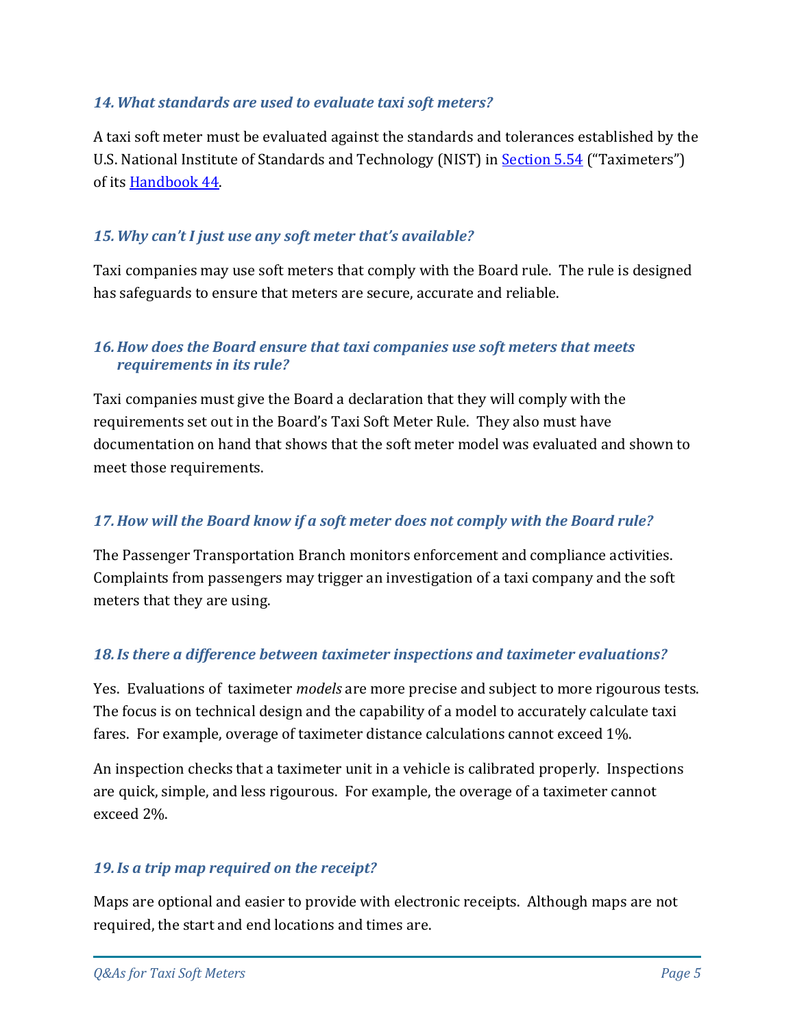#### <span id="page-4-0"></span>*14.What standards are used to evaluate taxi soft meters?*

A taxi soft meter must be evaluated against the standards and tolerances established by the U.S. National Institute of Standards and Technology (NIST) in [Section 5.54](https://www.nist.gov/file/330056) ("Taximeters") of its [Handbook 44.](https://www.nist.gov/pml/weights-and-measures/publications/nist-handbooks/handbook-44)

## <span id="page-4-1"></span>*15.Why can't I just use any soft meter that's available?*

Taxi companies may use soft meters that comply with the Board rule. The rule is designed has safeguards to ensure that meters are secure, accurate and reliable.

## <span id="page-4-2"></span>*16.How does the Board ensure that taxi companies use soft meters that meets requirements in its rule?*

Taxi companies must give the Board a declaration that they will comply with the requirements set out in the Board's Taxi Soft Meter Rule. They also must have documentation on hand that shows that the soft meter model was evaluated and shown to meet those requirements.

## <span id="page-4-3"></span>*17.How will the Board know if a soft meter does not comply with the Board rule?*

The Passenger Transportation Branch monitors enforcement and compliance activities. Complaints from passengers may trigger an investigation of a taxi company and the soft meters that they are using.

## <span id="page-4-4"></span>*18.Is there a difference between taximeter inspections and taximeter evaluations?*

Yes. Evaluations of taximeter *models* are more precise and subject to more rigourous tests. The focus is on technical design and the capability of a model to accurately calculate taxi fares. For example, overage of taximeter distance calculations cannot exceed 1%.

An inspection checks that a taximeter unit in a vehicle is calibrated properly. Inspections are quick, simple, and less rigourous. For example, the overage of a taximeter cannot exceed 2%.

#### <span id="page-4-5"></span>*19.Is a trip map required on the receipt?*

Maps are optional and easier to provide with electronic receipts. Although maps are not required, the start and end locations and times are.